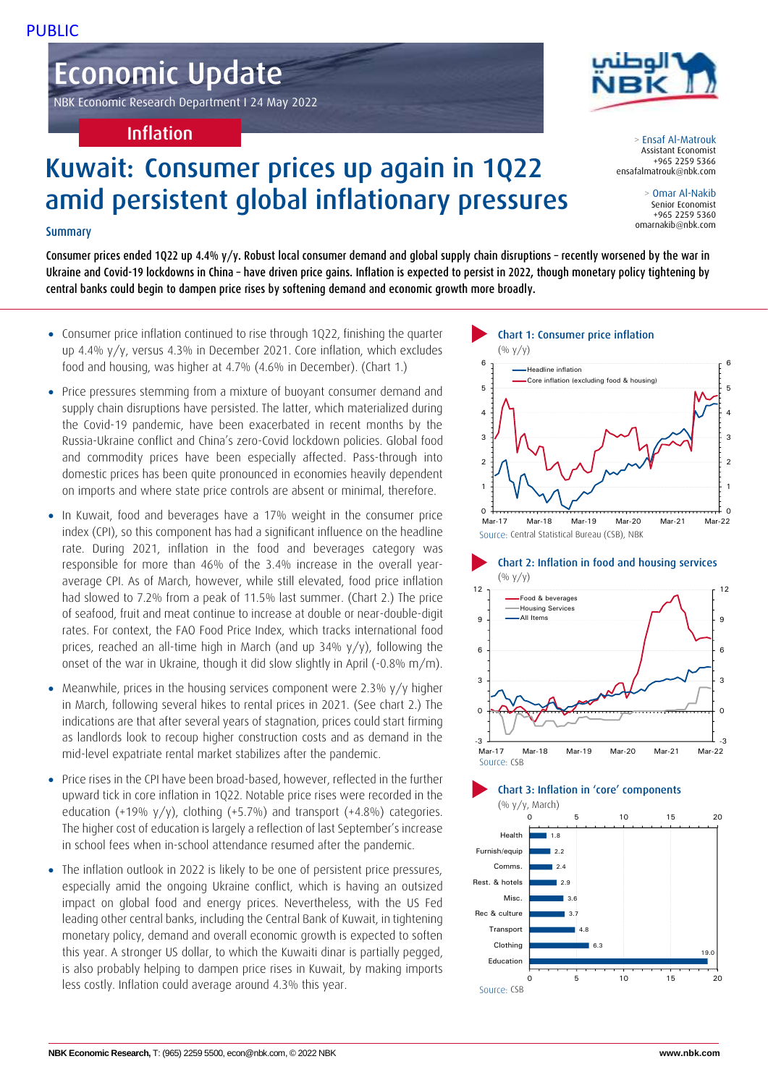# Economic Update

NBK Economic Research Department I 24 May 2022

## Inflation

# Kuwait: Consumer prices up again in 1Q22 amid persistent global inflationary pressures

## Summary

Consumer prices ended 1Q22 up 4.4% y/y. Robust local consumer demand and global supply chain disruptions – recently worsened by the war in Ukraine and Covid-19 lockdowns in China – have driven price gains. Inflation is expected to persist in 2022, though monetary policy tightening by central banks could begin to dampen price rises by softening demand and economic growth more broadly.

- Consumer price inflation continued to rise through 1Q22, finishing the quarter up 4.4% y/y, versus 4.3% in December 2021. Core inflation, which excludes food and housing, was higher at 4.7% (4.6% in December). (Chart 1.)
- Price pressures stemming from a mixture of buoyant consumer demand and supply chain disruptions have persisted. The latter, which materialized during the Covid-19 pandemic, have been exacerbated in recent months by the Russia-Ukraine conflict and China's zero-Covid lockdown policies. Global food and commodity prices have been especially affected. Pass-through into domestic prices has been quite pronounced in economies heavily dependent on imports and where state price controls are absent or minimal, therefore.
- In Kuwait, food and beverages have a 17% weight in the consumer price index (CPI), so this component has had a significant influence on the headline rate. During 2021, inflation in the food and beverages category was responsible for more than 46% of the 3.4% increase in the overall yearaverage CPI. As of March, however, while still elevated, food price inflation had slowed to 7.2% from a peak of 11.5% last summer. (Chart 2.) The price of seafood, fruit and meat continue to increase at double or near-double-digit rates. For context, the FAO Food Price Index, which tracks international food prices, reached an all-time high in March (and up 34% y/y), following the onset of the war in Ukraine, though it did slow slightly in April (-0.8% m/m).
- Meanwhile, prices in the housing services component were 2.3% y/y higher in March, following several hikes to rental prices in 2021. (See chart 2.) The indications are that after several years of stagnation, prices could start firming as landlords look to recoup higher construction costs and as demand in the mid-level expatriate rental market stabilizes after the pandemic.
- Price rises in the CPI have been broad-based, however, reflected in the further upward tick in core inflation in 1Q22. Notable price rises were recorded in the education (+19% y/y), clothing (+5.7%) and transport (+4.8%) categories. The higher cost of education is largely a reflection of last September's increase in school fees when in-school attendance resumed after the pandemic.
- The inflation outlook in 2022 is likely to be one of persistent price pressures, especially amid the ongoing Ukraine conflict, which is having an outsized impact on global food and energy prices. Nevertheless, with the US Fed leading other central banks, including the Central Bank of Kuwait, in tightening monetary policy, demand and overall economic growth is expected to soften this year. A stronger US dollar, to which the Kuwaiti dinar is partially pegged, is also probably helping to dampen price rises in Kuwait, by making imports less costly. Inflation could average around 4.3% this year.



> Ensaf Al-Matrouk Assistant Economist +965 2259 5366 ensafalmatrouk@nbk.com

> > Omar Al-Nakib Senior Economist +965 2259 5360 omarnakib@nbk.com









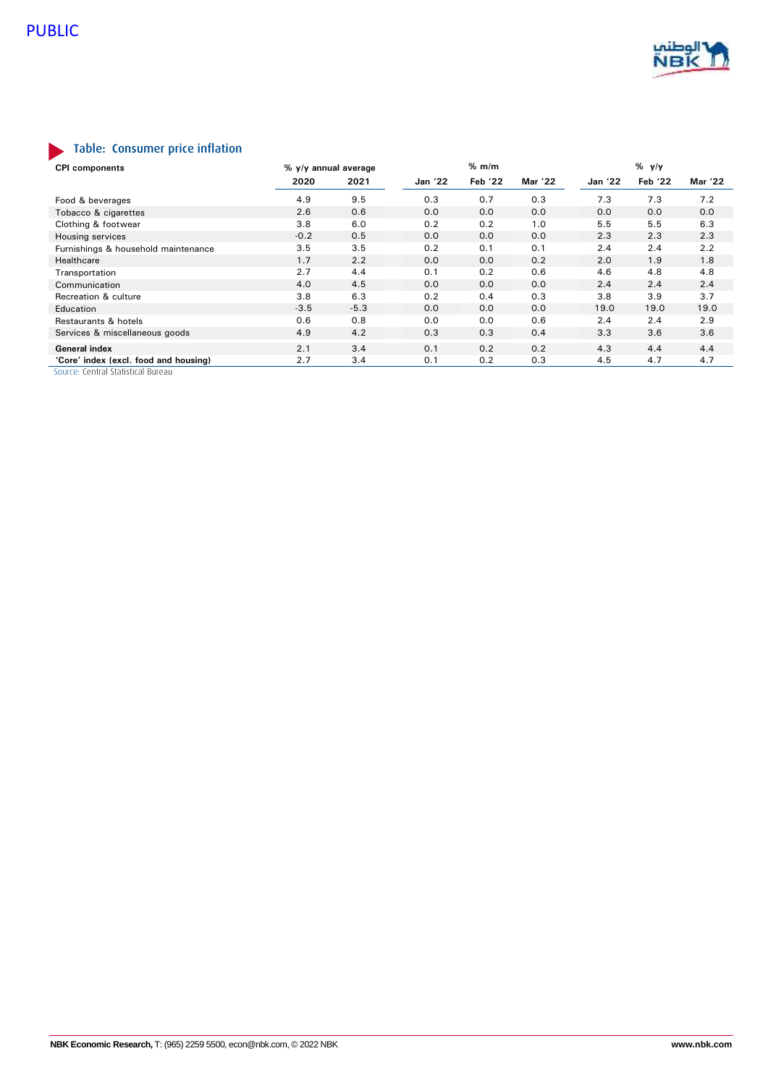

# Table: Consumer price inflation

| <b>CPI</b> components                 | % y/y annual average |        |                | % m/m   |         |         | $%$ y/y |         |  |
|---------------------------------------|----------------------|--------|----------------|---------|---------|---------|---------|---------|--|
|                                       | 2020                 | 2021   | <b>Jan '22</b> | Feb '22 | Mar '22 | Jan '22 | Feb '22 | Mar '22 |  |
| Food & beverages                      | 4.9                  | 9.5    | 0.3            | 0.7     | 0.3     | 7.3     | 7.3     | 7.2     |  |
| Tobacco & cigarettes                  | 2.6                  | 0.6    | 0.0            | 0.0     | 0.0     | 0.0     | 0.0     | 0.0     |  |
| Clothing & footwear                   | 3.8                  | 6.0    | 0.2            | 0.2     | 1.0     | 5.5     | 5.5     | 6.3     |  |
| Housing services                      | $-0.2$               | 0.5    | 0.0            | 0.0     | 0.0     | 2.3     | 2.3     | 2.3     |  |
| Furnishings & household maintenance   | 3.5                  | 3.5    | 0.2            | 0.1     | 0.1     | 2.4     | 2.4     | 2.2     |  |
| Healthcare                            | 1.7                  | 2.2    | 0.0            | 0.0     | 0.2     | 2.0     | 1.9     | 1.8     |  |
| Transportation                        | 2.7                  | 4.4    | 0.1            | 0.2     | 0.6     | 4.6     | 4.8     | 4.8     |  |
| Communication                         | 4.0                  | 4.5    | 0.0            | 0.0     | 0.0     | 2.4     | 2.4     | 2.4     |  |
| Recreation & culture                  | 3.8                  | 6.3    | 0.2            | 0.4     | 0.3     | 3.8     | 3.9     | 3.7     |  |
| Education                             | $-3.5$               | $-5.3$ | 0.0            | 0.0     | 0.0     | 19.0    | 19.0    | 19.0    |  |
| Restaurants & hotels                  | 0.6                  | 0.8    | 0.0            | 0.0     | 0.6     | 2.4     | 2.4     | 2.9     |  |
| Services & miscellaneous goods        | 4.9                  | 4.2    | 0.3            | 0.3     | 0.4     | 3.3     | 3.6     | 3.6     |  |
| <b>General index</b>                  | 2.1                  | 3.4    | 0.1            | 0.2     | 0.2     | 4.3     | 4.4     | 4.4     |  |
| 'Core' index (excl. food and housing) | 2.7                  | 3.4    | 0.1            | 0.2     | 0.3     | 4.5     | 4.7     | 4.7     |  |

Source: Central Statistical Bureau